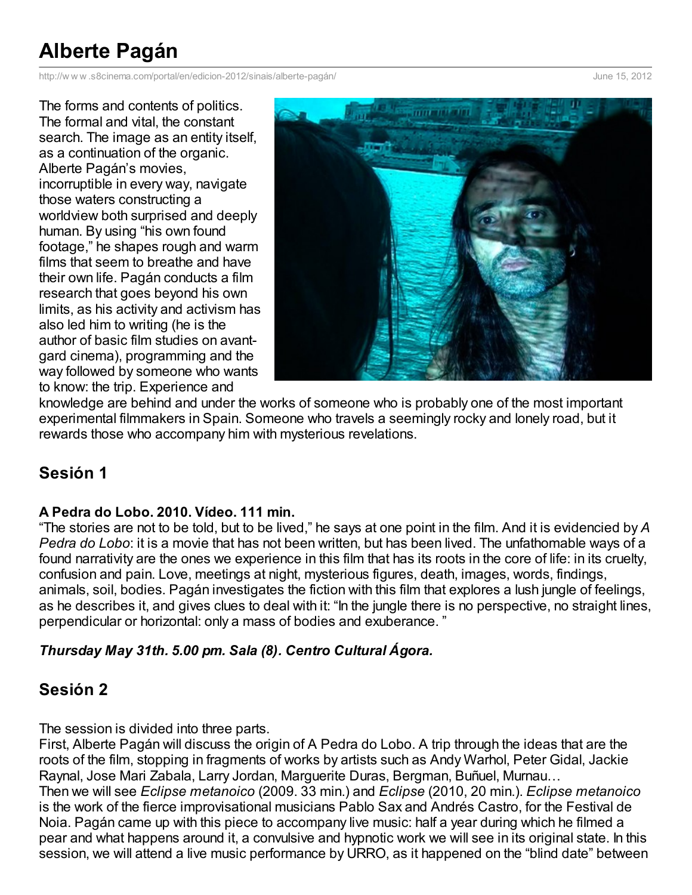# **Alberte Pagán**

http://w w w [.s8cinema.com/portal/en/edicion-2012/sinais/alberte-pagán/](http://www.printfriendly.com/print?url=http%3A%2F%2Fwww.s8cinema.com%2Fportal%2Fen%2Fedicion-2012%2Fsinais%2Falberte-pag%25c3%25a1n%2F&partner=sociable) June 15, 2012

The forms and contents of politics. The formal and vital, the constant search. The image as an entity itself, as a continuation of the organic. Alberte Pagán's movies, incorruptible in every way, navigate those waters constructing a worldview both surprised and deeply human. By using "his own found footage," he shapes rough and warm films that seem to breathe and have their own life. Pagán conducts a film research that goes beyond his own limits, as his activity and activism has also led him to writing (he is the author of basic film studies on avantgard cinema), programming and the way followed by someone who wants to know: the trip. Experience and



knowledge are behind and under the works of someone who is probably one of the most important experimental filmmakers in Spain. Someone who travels a seemingly rocky and lonely road, but it rewards those who accompany him with mysterious revelations.

# **Sesión 1**

## **A Pedra do Lobo. 2010. Vídeo. 111 min.**

"The stories are not to be told, but to be lived," he says at one point in the film. And it is evidencied by *A Pedra do Lobo*: it is a movie that has not been written, but has been lived. The unfathomable ways of a found narrativity are the ones we experience in this film that has its roots in the core of life: in its cruelty, confusion and pain. Love, meetings at night, mysterious figures, death, images, words, findings, animals, soil, bodies. Pagán investigates the fiction with this film that explores a lush jungle of feelings, as he describes it, and gives clues to deal with it: "In the jungle there is no perspective, no straight lines, perpendicular or horizontal: only a mass of bodies and exuberance. "

## *Thursday May 31th. 5.00 pm. Sala (8). Centro Cultural Ágora.*

## **Sesión 2**

The session is divided into three parts.

First, Alberte Pagán will discuss the origin of A Pedra do Lobo. A trip through the ideas that are the roots of the film, stopping in fragments of works by artists such as Andy Warhol, Peter Gidal, Jackie Raynal, Jose Mari Zabala, Larry Jordan, Marguerite Duras, Bergman, Buñuel, Murnau… Then we will see *Eclipse metanoico* (2009. 33 min.) and *Eclipse* (2010, 20 min.). *Eclipse metanoico* is the work of the fierce improvisational musicians Pablo Sax and Andrés Castro, for the Festival de Noia. Pagán came up with this piece to accompany live music: half a year during which he filmed a pear and what happens around it, a convulsive and hypnotic work we will see in its original state. In this session, we will attend a live music performance by URRO, as it happened on the "blind date" between